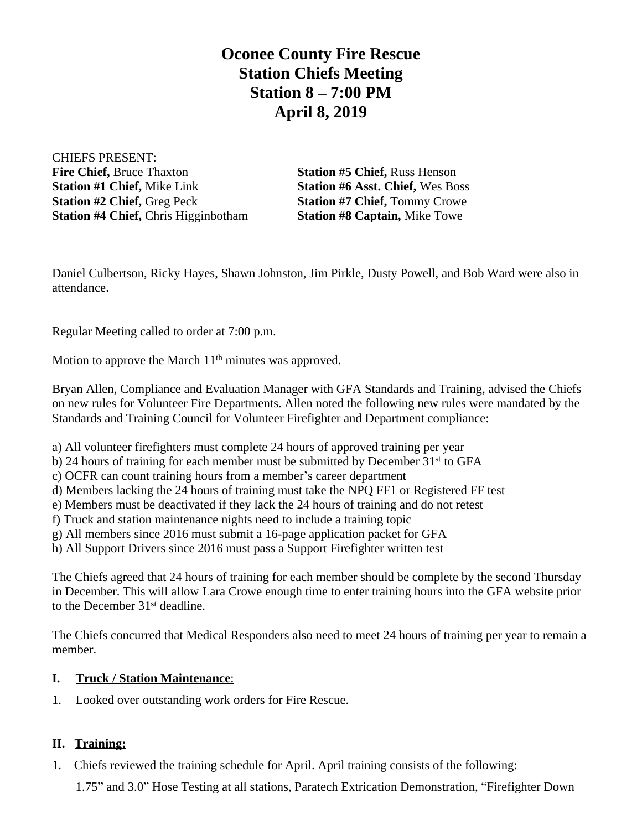**Oconee County Fire Rescue Station Chiefs Meeting Station 8 – 7:00 PM April 8, 2019**

CHIEFS PRESENT: **Fire Chief,** Bruce Thaxton **Station #5 Chief,** Russ Henson **Station #1 Chief,** Mike Link **Station #6 Asst. Chief,** Wes Boss **Station #2 Chief,** Greg Peck **Station #7 Chief,** Tommy Crowe **Station #4 Chief, Chris Higginbotham <b>Station #8 Captain,** Mike Towe

Daniel Culbertson, Ricky Hayes, Shawn Johnston, Jim Pirkle, Dusty Powell, and Bob Ward were also in attendance.

Regular Meeting called to order at 7:00 p.m.

Motion to approve the March 11<sup>th</sup> minutes was approved.

Bryan Allen, Compliance and Evaluation Manager with GFA Standards and Training, advised the Chiefs on new rules for Volunteer Fire Departments. Allen noted the following new rules were mandated by the Standards and Training Council for Volunteer Firefighter and Department compliance:

a) All volunteer firefighters must complete 24 hours of approved training per year

b) 24 hours of training for each member must be submitted by December 31<sup>st</sup> to GFA

c) OCFR can count training hours from a member's career department

d) Members lacking the 24 hours of training must take the NPQ FF1 or Registered FF test

e) Members must be deactivated if they lack the 24 hours of training and do not retest

f) Truck and station maintenance nights need to include a training topic

g) All members since 2016 must submit a 16-page application packet for GFA

h) All Support Drivers since 2016 must pass a Support Firefighter written test

The Chiefs agreed that 24 hours of training for each member should be complete by the second Thursday in December. This will allow Lara Crowe enough time to enter training hours into the GFA website prior to the December 31st deadline.

The Chiefs concurred that Medical Responders also need to meet 24 hours of training per year to remain a member.

## **I. Truck / Station Maintenance**:

1. Looked over outstanding work orders for Fire Rescue.

## **II. Training:**

1. Chiefs reviewed the training schedule for April. April training consists of the following:

1.75" and 3.0" Hose Testing at all stations, Paratech Extrication Demonstration, "Firefighter Down